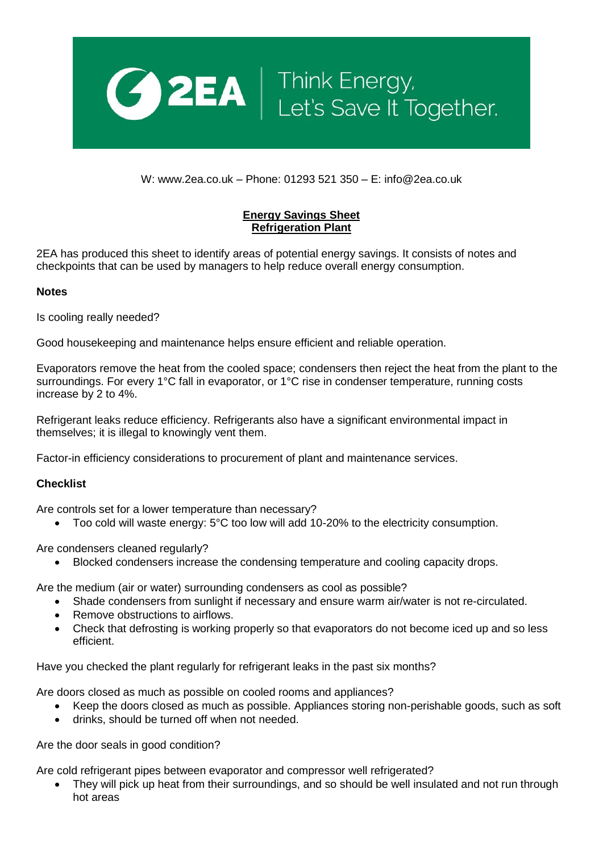

W: www.2ea.co.uk – Phone: 01293 521 350 – E: info@2ea.co.uk

## **Energy Savings Sheet Refrigeration Plant**

2EA has produced this sheet to identify areas of potential energy savings. It consists of notes and checkpoints that can be used by managers to help reduce overall energy consumption.

## **Notes**

Is cooling really needed?

Good housekeeping and maintenance helps ensure efficient and reliable operation.

Evaporators remove the heat from the cooled space; condensers then reject the heat from the plant to the surroundings. For every 1°C fall in evaporator, or 1°C rise in condenser temperature, running costs increase by 2 to 4%.

Refrigerant leaks reduce efficiency. Refrigerants also have a significant environmental impact in themselves; it is illegal to knowingly vent them.

Factor-in efficiency considerations to procurement of plant and maintenance services.

## **Checklist**

Are controls set for a lower temperature than necessary?

• Too cold will waste energy: 5°C too low will add 10-20% to the electricity consumption.

Are condensers cleaned regularly?

Blocked condensers increase the condensing temperature and cooling capacity drops.

Are the medium (air or water) surrounding condensers as cool as possible?

- Shade condensers from sunlight if necessary and ensure warm air/water is not re-circulated.
- Remove obstructions to airflows.
- Check that defrosting is working properly so that evaporators do not become iced up and so less efficient.

Have you checked the plant regularly for refrigerant leaks in the past six months?

Are doors closed as much as possible on cooled rooms and appliances?

- Keep the doors closed as much as possible. Appliances storing non-perishable goods, such as soft
- drinks, should be turned off when not needed.

Are the door seals in good condition?

Are cold refrigerant pipes between evaporator and compressor well refrigerated?

 They will pick up heat from their surroundings, and so should be well insulated and not run through hot areas